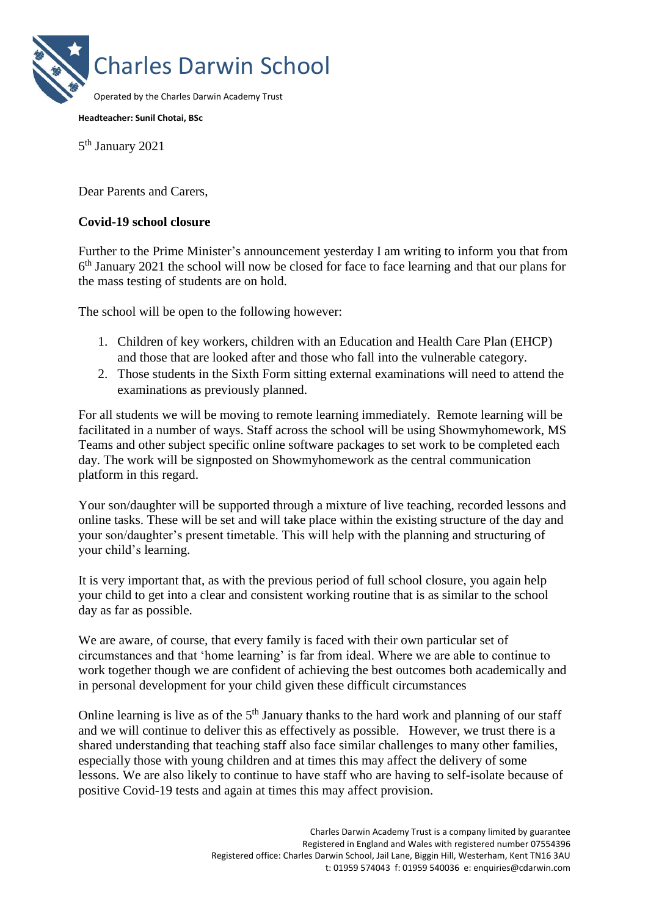

## **Headteacher: Sunil Chotai, BSc**

5<sup>th</sup> January 2021

Dear Parents and Carers,

## **Covid-19 school closure**

Further to the Prime Minister's announcement yesterday I am writing to inform you that from 6<sup>th</sup> January 2021 the school will now be closed for face to face learning and that our plans for the mass testing of students are on hold.

The school will be open to the following however:

- 1. Children of key workers, children with an Education and Health Care Plan (EHCP) and those that are looked after and those who fall into the vulnerable category.
- 2. Those students in the Sixth Form sitting external examinations will need to attend the examinations as previously planned.

For all students we will be moving to remote learning immediately. Remote learning will be facilitated in a number of ways. Staff across the school will be using Showmyhomework, MS Teams and other subject specific online software packages to set work to be completed each day. The work will be signposted on Showmyhomework as the central communication platform in this regard.

Your son/daughter will be supported through a mixture of live teaching, recorded lessons and online tasks. These will be set and will take place within the existing structure of the day and your son/daughter's present timetable. This will help with the planning and structuring of your child's learning.

It is very important that, as with the previous period of full school closure, you again help your child to get into a clear and consistent working routine that is as similar to the school day as far as possible.

We are aware, of course, that every family is faced with their own particular set of circumstances and that 'home learning' is far from ideal. Where we are able to continue to work together though we are confident of achieving the best outcomes both academically and in personal development for your child given these difficult circumstances

Online learning is live as of the  $5<sup>th</sup>$  January thanks to the hard work and planning of our staff and we will continue to deliver this as effectively as possible. However, we trust there is a shared understanding that teaching staff also face similar challenges to many other families, especially those with young children and at times this may affect the delivery of some lessons. We are also likely to continue to have staff who are having to self-isolate because of positive Covid-19 tests and again at times this may affect provision.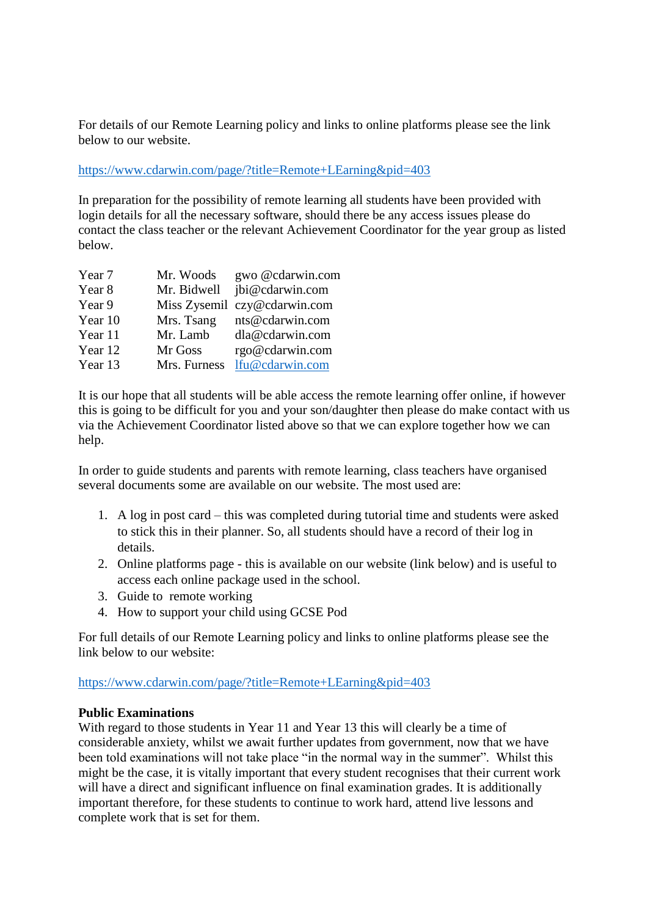For details of our Remote Learning policy and links to online platforms please see the link below to our website.

<https://www.cdarwin.com/page/?title=Remote+LEarning&pid=403>

In preparation for the possibility of remote learning all students have been provided with login details for all the necessary software, should there be any access issues please do contact the class teacher or the relevant Achievement Coordinator for the year group as listed below.

| Mr. Woods    | gwo @cdarwin.com             |
|--------------|------------------------------|
| Mr. Bidwell  | jbi@cdarwin.com              |
|              | Miss Zysemil czy@cdarwin.com |
| Mrs. Tsang   | nts@cdarwin.com              |
| Mr. Lamb     | dla@cdarwin.com              |
| Mr Goss      | rgo@cdarwin.com              |
| Mrs. Furness | lfu@cdarwin.com              |
|              |                              |

It is our hope that all students will be able access the remote learning offer online, if however this is going to be difficult for you and your son/daughter then please do make contact with us via the Achievement Coordinator listed above so that we can explore together how we can help.

In order to guide students and parents with remote learning, class teachers have organised several documents some are available on our website. The most used are:

- 1. A log in post card this was completed during tutorial time and students were asked to stick this in their planner. So, all students should have a record of their log in details.
- 2. Online platforms page this is available on our website (link below) and is useful to access each online package used in the school.
- 3. Guide to remote working
- 4. How to support your child using GCSE Pod

For full details of our Remote Learning policy and links to online platforms please see the link below to our website:

<https://www.cdarwin.com/page/?title=Remote+LEarning&pid=403>

## **Public Examinations**

With regard to those students in Year 11 and Year 13 this will clearly be a time of considerable anxiety, whilst we await further updates from government, now that we have been told examinations will not take place "in the normal way in the summer". Whilst this might be the case, it is vitally important that every student recognises that their current work will have a direct and significant influence on final examination grades. It is additionally important therefore, for these students to continue to work hard, attend live lessons and complete work that is set for them.